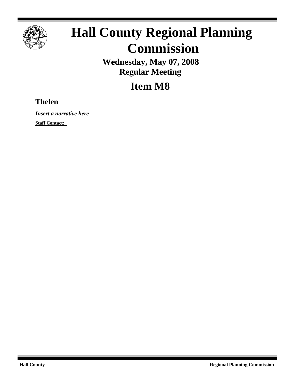

# **Hall County Regional Planning Commission**

**Wednesday, May 07, 2008 Regular Meeting**

**Item M8**

## **Thelen**

*Insert a narrative here*

**Staff Contact:**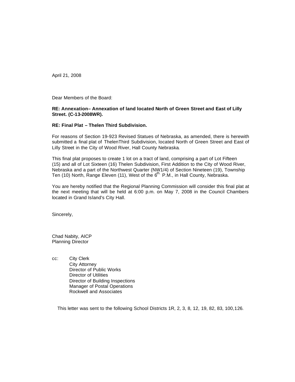April 21, 2008

Dear Members of the Board:

### **RE: Annexation– Annexation of land located North of Green Street and East of Lilly Street. (C-13-2008WR).**

### **RE: Final Plat – Thelen Third Subdivision.**

For reasons of Section 19-923 Revised Statues of Nebraska, as amended, there is herewith submitted a final plat of ThelenThird Subdivision, located North of Green Street and East of Lilly Street in the City of Wood River, Hall County Nebraska.

 This final plat proposes to create 1 lot on a tract of land, comprising a part of Lot Fifteen (15) and all of Lot Sixteen (16) Thelen Subdivision, First Addition to the City of Wood River, Nebraska and a part of the Northwest Quarter (NW1/4) of Section Nineteen (19), Township Ten (10) North, Range Eleven (11), West of the  $6<sup>th</sup>$ . P.M., in Hall County, Nebraska.

You are hereby notified that the Regional Planning Commission will consider this final plat at the next meeting that will be held at 6:00 p.m. on May 7, 2008 in the Council Chambers located in Grand Island's City Hall.

Sincerely,

Chad Nabity, AICP Planning Director

cc: City Clerk City Attorney Director of Public Works Director of Utilities Director of Building Inspections Manager of Postal Operations Rockwell and Associates

This letter was sent to the following School Districts 1R, 2, 3, 8, 12, 19, 82, 83, 100,126.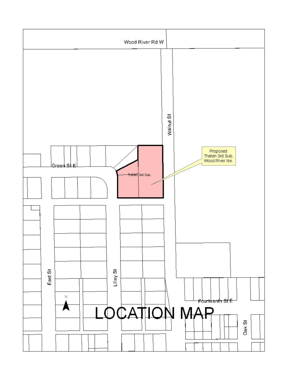